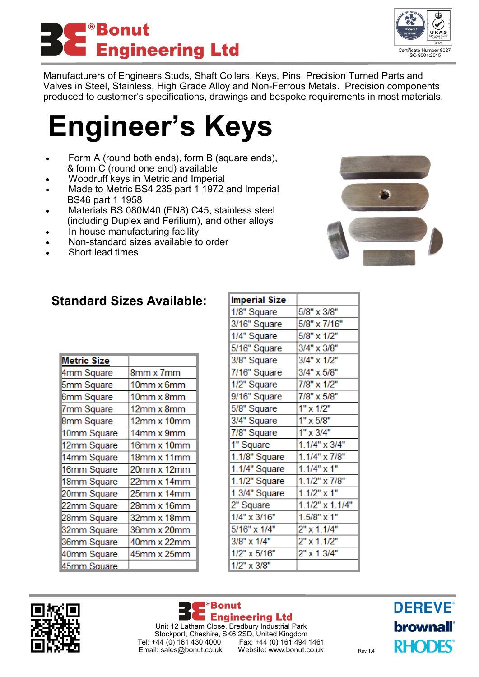



Manufacturers of Engineers Studs, Shaft Collars, Keys, Pins, Precision Turned Parts and Valves in Steel, Stainless, High Grade Alloy and Non-Ferrous Metals. Precision components produced to customer's specifications, drawings and bespoke requirements in most materials.

## **Engineer's Keys**

- Form A (round both ends), form B (square ends), & form C (round one end) available
- Woodruff keys in Metric and Imperial
- Made to Metric BS4 235 part 1 1972 and Imperial BS46 part 1 1958
- Materials BS 080M40 (EN8) C45, stainless steel (including Duplex and Ferilium), and other alloys
- In house manufacturing facility
- Non-standard sizes available to order
- Short lead times



| <b>Metric Size</b> |             |
|--------------------|-------------|
| 4mm Square         | 8mm x 7mm   |
| 5mm Square         | 10mm x 6mm  |
| 6mm Square         | 10mm x 8mm  |
| 7mm Square         | 12mm x 8mm  |
| 8mm Square         | 12mm x 10mm |
| 10mm Square        | 14mm x 9mm  |
| 12mm Square        | 16mm x 10mm |
| 14mm Square        | 18mm x 11mm |
| 16mm Square        | 20mm x 12mm |
| 18mm Square        | 22mm x 14mm |
| 20mm Square        | 25mm x 14mm |
| 22mm Square        | 28mm x 16mm |
| 28mm Square        | 32mm x 18mm |
| 32mm Square        | 36mm x 20mm |
| 36mm Square        | 40mm x 22mm |
| 40mm Square        | 45mm x 25mm |
| 45mm Sauare        |             |

| Imperial Size |                        |
|---------------|------------------------|
| 1/8" Square   | 5/8" x 3/8"            |
| 3/16" Square  | 5/8" x 7/16"           |
| 1/4" Square   | 5/8" x 1/2"            |
| 5/16" Square  | 3/4" x 3/8"            |
| 3/8" Square   | 3/4" x 1/2"            |
| 7/16" Square  | 3/4" x 5/8"            |
| 1/2" Square   | 7/8" x 1/2"            |
| 9/16" Square  | 7/8" x 5/8"            |
| 5/8" Square   | 1" x 1/2"              |
| 3/4" Square   | $1" \times 5/8"$       |
| 7/8" Square   | 1" x 3/4"              |
| 1" Square     | $1.1/4" \times 3/4"$   |
| 1.1/8" Square | 1.1/4" x 7/8"          |
| 1.1/4" Square | $1.1/4"$ x 1"          |
| 1.1/2" Square | 1.1/2" x 7/8"          |
| 1.3/4" Square | $1.1/2"$ x 1"          |
| 2" Square     | $1.1/2" \times 1.1/4"$ |
| 1/4" x 3/16"  | $1.5/8"$ x 1"          |
| 5/16" x 1/4"  | 2" x 1.1/4"            |
| 3/8" x 1/4"   | $2" \times 1.1/2"$     |
| 1/2" x 5/16"  | 2" x 1.3/4"            |
| 1/2" x 3/8"   |                        |